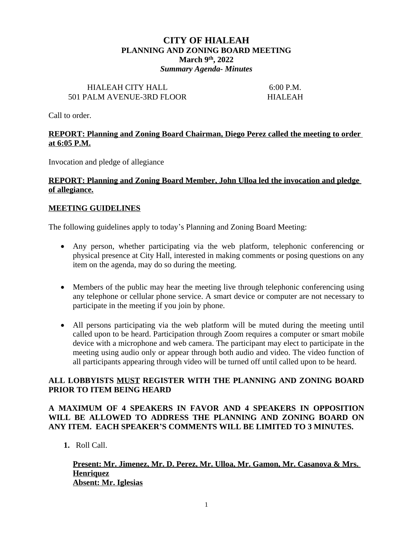# **CITY OF HIALEAH PLANNING AND ZONING BOARD MEETING March 9th, 2022** *Summary Agenda- Minutes*

### HIALEAH CITY HALL 6:00 P.M. 501 PALM AVENUE-3RD FLOOR HIALEAH

Call to order.

# **REPORT: Planning and Zoning Board Chairman, Diego Perez called the meeting to order at 6:05 P.M.**

Invocation and pledge of allegiance

# **REPORT: Planning and Zoning Board Member, John Ulloa led the invocation and pledge of allegiance.**

## **MEETING GUIDELINES**

The following guidelines apply to today's Planning and Zoning Board Meeting:

- Any person, whether participating via the web platform, telephonic conferencing or physical presence at City Hall, interested in making comments or posing questions on any item on the agenda, may do so during the meeting.
- Members of the public may hear the meeting live through telephonic conferencing using any telephone or cellular phone service. A smart device or computer are not necessary to participate in the meeting if you join by phone.
- All persons participating via the web platform will be muted during the meeting until called upon to be heard. Participation through Zoom requires a computer or smart mobile device with a microphone and web camera. The participant may elect to participate in the meeting using audio only or appear through both audio and video. The video function of all participants appearing through video will be turned off until called upon to be heard.

# **ALL LOBBYISTS MUST REGISTER WITH THE PLANNING AND ZONING BOARD PRIOR TO ITEM BEING HEARD**

# **A MAXIMUM OF 4 SPEAKERS IN FAVOR AND 4 SPEAKERS IN OPPOSITION WILL BE ALLOWED TO ADDRESS THE PLANNING AND ZONING BOARD ON ANY ITEM. EACH SPEAKER'S COMMENTS WILL BE LIMITED TO 3 MINUTES.**

**1.** Roll Call.

## **Present: Mr. Jimenez, Mr. D. Perez, Mr. Ulloa, Mr. Gamon, Mr. Casanova & Mrs. Henriquez Absent: Mr. Iglesias**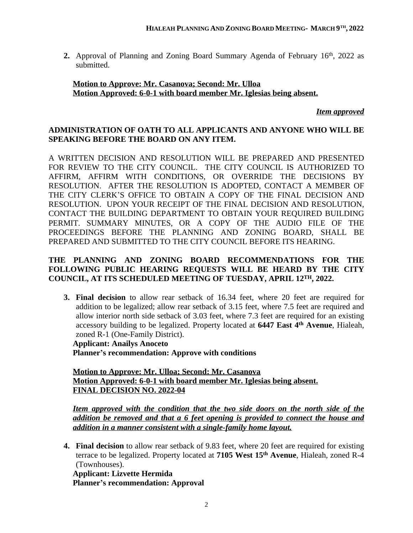2. Approval of Planning and Zoning Board Summary Agenda of February 16<sup>th</sup>, 2022 as submitted.

# **Motion to Approve: Mr. Casanova; Second: Mr. Ulloa Motion Approved: 6-0-1 with board member Mr. Iglesias being absent.**

*Item approved*

# **ADMINISTRATION OF OATH TO ALL APPLICANTS AND ANYONE WHO WILL BE SPEAKING BEFORE THE BOARD ON ANY ITEM.**

A WRITTEN DECISION AND RESOLUTION WILL BE PREPARED AND PRESENTED FOR REVIEW TO THE CITY COUNCIL. THE CITY COUNCIL IS AUTHORIZED TO AFFIRM, AFFIRM WITH CONDITIONS, OR OVERRIDE THE DECISIONS BY RESOLUTION. AFTER THE RESOLUTION IS ADOPTED, CONTACT A MEMBER OF THE CITY CLERK'S OFFICE TO OBTAIN A COPY OF THE FINAL DECISION AND RESOLUTION. UPON YOUR RECEIPT OF THE FINAL DECISION AND RESOLUTION, CONTACT THE BUILDING DEPARTMENT TO OBTAIN YOUR REQUIRED BUILDING PERMIT. SUMMARY MINUTES, OR A COPY OF THE AUDIO FILE OF THE PROCEEDINGS BEFORE THE PLANNING AND ZONING BOARD, SHALL BE PREPARED AND SUBMITTED TO THE CITY COUNCIL BEFORE ITS HEARING.

# **THE PLANNING AND ZONING BOARD RECOMMENDATIONS FOR THE FOLLOWING PUBLIC HEARING REQUESTS WILL BE HEARD BY THE CITY COUNCIL, AT ITS SCHEDULED MEETING OF TUESDAY, APRIL 12TH, 2022.**

**3. Final decision** to allow rear setback of 16.34 feet, where 20 feet are required for addition to be legalized; allow rear setback of 3.15 feet, where 7.5 feet are required and allow interior north side setback of 3.03 feet, where 7.3 feet are required for an existing accessory building to be legalized. Property located at **6447 East 4 th Avenue**, Hialeah, zoned R-1 (One-Family District).

**Applicant: Anailys Anoceto Planner's recommendation: Approve with conditions**

**Motion to Approve: Mr. Ulloa; Second: Mr. Casanova Motion Approved: 6-0-1 with board member Mr. Iglesias being absent. FINAL DECISION NO. 2022-04**

*Item approved with the condition that the two side doors on the north side of the addition be removed and that a 6 feet opening is provided to connect the house and addition in a manner consistent with a single-family home layout.*

**4. Final decision** to allow rear setback of 9.83 feet, where 20 feet are required for existing terrace to be legalized. Property located at **7105 West 15th Avenue**, Hialeah, zoned R-4 (Townhouses).

**Applicant: Lizvette Hermida Planner's recommendation: Approval**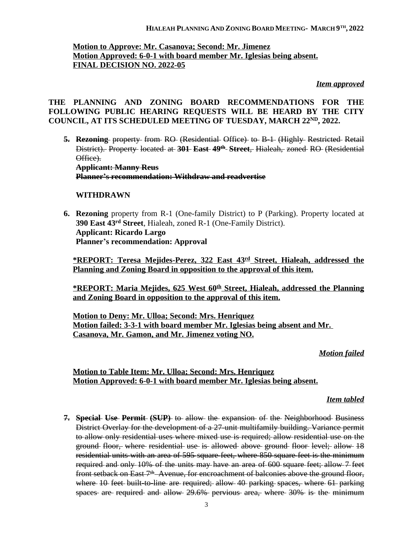# **Motion to Approve: Mr. Casanova; Second: Mr. Jimenez Motion Approved: 6-0-1 with board member Mr. Iglesias being absent. FINAL DECISION NO. 2022-05**

#### *Item approved*

# **THE PLANNING AND ZONING BOARD RECOMMENDATIONS FOR THE FOLLOWING PUBLIC HEARING REQUESTS WILL BE HEARD BY THE CITY COUNCIL, AT ITS SCHEDULED MEETING OF TUESDAY, MARCH 22ND, 2022.**

**5. Rezoning** property from RO (Residential Office) to B-1 (Highly Restricted Retail District). Property located at **301 East 49th Street**, Hialeah, zoned RO (Residential Office).

**Applicant: Manny Reus Planner's recommendation: Withdraw and readvertise**

### **WITHDRAWN**

**6. Rezoning** property from R-1 (One-family District) to P (Parking). Property located at **390 East 43rd Street**, Hialeah, zoned R-1 (One-Family District). **Applicant: Ricardo Largo Planner's recommendation: Approval**

**\*REPORT: Teresa Mejides-Perez, 322 East 43rd Street, Hialeah, addressed the Planning and Zoning Board in opposition to the approval of this item.**

**\*REPORT: Maria Mejides, 625 West 60th Street, Hialeah, addressed the Planning and Zoning Board in opposition to the approval of this item.**

**Motion to Deny: Mr. Ulloa; Second: Mrs. Henriquez Motion failed: 3-3-1 with board member Mr. Iglesias being absent and Mr. Casanova, Mr. Gamon, and Mr. Jimenez voting NO.**

#### *Motion failed*

## **Motion to Table Item: Mr. Ulloa; Second: Mrs. Henriquez Motion Approved: 6-0-1 with board member Mr. Iglesias being absent.**

#### *Item tabled*

**7. Special Use Permit (SUP)** to allow the expansion of the Neighborhood Business District Overlay for the development of a 27-unit multifamily building. Variance permit to allow only residential uses where mixed use is required; allow residential use on the ground floor, where residential use is allowed above ground floor level; allow 18 residential units with an area of 595 square feet, where 850 square feet is the minimum required and only 10% of the units may have an area of 600 square feet; allow 7 feet front setback on East 7<sup>th</sup>-Avenue, for encroachment of balconies above the ground floor, where 10 feet built-to-line are required; allow 40 parking spaces, where 61 parking spaces are required and allow 29.6% pervious area, where 30% is the minimum